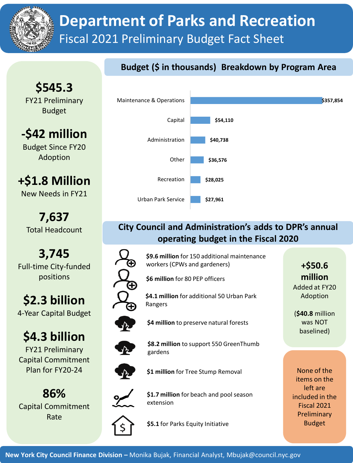

# **Department of Parks and Recreation** Fiscal 2021 Preliminary Budget Fact Sheet

## **Budget (\$ in thousands) Breakdown by Program Area**

**\$545.3** FY21 Preliminary Budget

**-\$42 million** Budget Since FY20

Adoption

**+\$1.8 Million**

New Needs in FY21

**7,637** Total Headcount

**3,745** Full-time City-funded positions

**\$2.3 billion** 4-Year Capital Budget

# **\$4.3 billion**

FY21 Preliminary Capital Commitment Plan for FY20-24

**86%** Capital Commitment Rate



### **City Council and Administration's adds to DPR's annual operating budget in the Fiscal 2020**

**\$9.6 million** for 150 additional maintenance workers (CPWs and gardeners)

**\$6 million** for 80 PEP officers

**\$4.1 million** for additional 50 Urban Park Rangers

**\$4 million** to preserve natural forests



**\$8.2 million** to support 550 GreenThumb gardens



**\$1 million** for Tree Stump Removal



**\$1.7 million** for beach and pool season extension

**\$5.1** for Parks Equity Initiative

**+\$50.6 million** Added at FY20 Adoption

(**\$40.8** million was NOT baselined)

None of the items on the left are included in the Fiscal 2021 Preliminary Budget